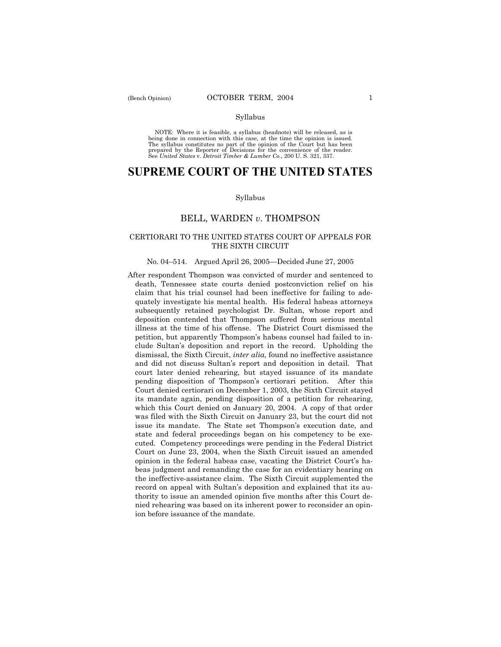### Syllabus

NOTE: Where it is feasible, a syllabus (headnote) will be released, as is being done in connection with this case, at the time the opinion is issued. The syllabus constitutes no part of the opinion of the Court but has been<br>prepared by the Reporter of Decisions for the convenience of the reader.<br>See United States v. Detroit Timber & Lumber Co., 200 U. S. 321, 337.

# **SUPREME COURT OF THE UNITED STATES**

### Syllabus

## BELL, WARDEN *v*. THOMPSON

## CERTIORARI TO THE UNITED STATES COURT OF APPEALS FOR THE SIXTH CIRCUIT

## No. 04–514. Argued April 26, 2005 – Decided June 27, 2005

After respondent Thompson was convicted of murder and sentenced to death, Tennessee state courts denied postconviction relief on his claim that his trial counsel had been ineffective for failing to adequately investigate his mental health. His federal habeas attorneys subsequently retained psychologist Dr. Sultan, whose report and deposition contended that Thompson suffered from serious mental illness at the time of his offense. The District Court dismissed the petition, but apparently Thompson's habeas counsel had failed to include Sultanís deposition and report in the record. Upholding the dismissal, the Sixth Circuit, *inter alia,* found no ineffective assistance and did not discuss Sultanís report and deposition in detail. That court later denied rehearing, but stayed issuance of its mandate pending disposition of Thompsonís certiorari petition. After this Court denied certiorari on December 1, 2003, the Sixth Circuit stayed its mandate again, pending disposition of a petition for rehearing, which this Court denied on January 20, 2004. A copy of that order was filed with the Sixth Circuit on January 23, but the court did not issue its mandate. The State set Thompson's execution date, and state and federal proceedings began on his competency to be executed. Competency proceedings were pending in the Federal District Court on June 23, 2004, when the Sixth Circuit issued an amended opinion in the federal habeas case, vacating the District Courtís habeas judgment and remanding the case for an evidentiary hearing on the ineffective-assistance claim. The Sixth Circuit supplemented the record on appeal with Sultan's deposition and explained that its authority to issue an amended opinion five months after this Court denied rehearing was based on its inherent power to reconsider an opinion before issuance of the mandate.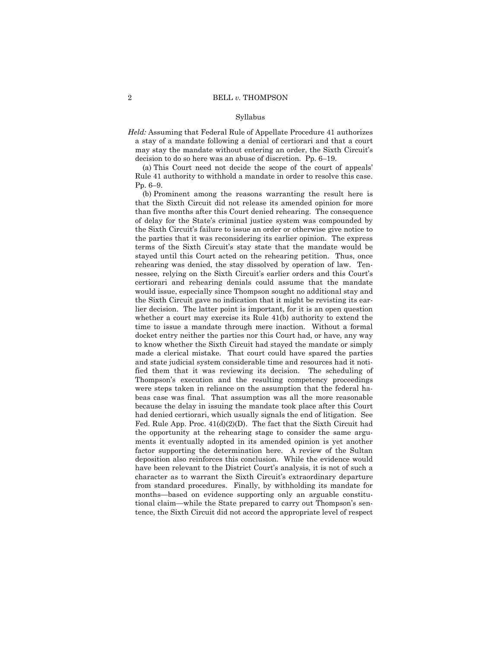### Syllabus

*Held:* Assuming that Federal Rule of Appellate Procedure 41 authorizes a stay of a mandate following a denial of certiorari and that a court may stay the mandate without entering an order, the Sixth Circuit's decision to do so here was an abuse of discretion. Pp.  $6-19$ .

(a) This Court need not decide the scope of the court of appeals' Rule 41 authority to withhold a mandate in order to resolve this case.  $Pp. 6-9.$ 

 (b) Prominent among the reasons warranting the result here is that the Sixth Circuit did not release its amended opinion for more than five months after this Court denied rehearing. The consequence of delay for the Stateís criminal justice system was compounded by the Sixth Circuit's failure to issue an order or otherwise give notice to the parties that it was reconsidering its earlier opinion. The express terms of the Sixth Circuit's stay state that the mandate would be stayed until this Court acted on the rehearing petition. Thus, once rehearing was denied, the stay dissolved by operation of law. Tennessee, relying on the Sixth Circuit's earlier orders and this Court's certiorari and rehearing denials could assume that the mandate would issue, especially since Thompson sought no additional stay and the Sixth Circuit gave no indication that it might be revisting its earlier decision. The latter point is important, for it is an open question whether a court may exercise its Rule 41(b) authority to extend the time to issue a mandate through mere inaction. Without a formal docket entry neither the parties nor this Court had, or have, any way to know whether the Sixth Circuit had stayed the mandate or simply made a clerical mistake. That court could have spared the parties and state judicial system considerable time and resources had it notified them that it was reviewing its decision. The scheduling of Thompsonís execution and the resulting competency proceedings were steps taken in reliance on the assumption that the federal habeas case was final. That assumption was all the more reasonable because the delay in issuing the mandate took place after this Court had denied certiorari, which usually signals the end of litigation. See Fed. Rule App. Proc.  $41(d)(2)(D)$ . The fact that the Sixth Circuit had the opportunity at the rehearing stage to consider the same arguments it eventually adopted in its amended opinion is yet another factor supporting the determination here. A review of the Sultan deposition also reinforces this conclusion. While the evidence would have been relevant to the District Court's analysis, it is not of such a character as to warrant the Sixth Circuit's extraordinary departure from standard procedures. Finally, by withholding its mandate for months-based on evidence supporting only an arguable constitutional claim—while the State prepared to carry out Thompson's sentence, the Sixth Circuit did not accord the appropriate level of respect